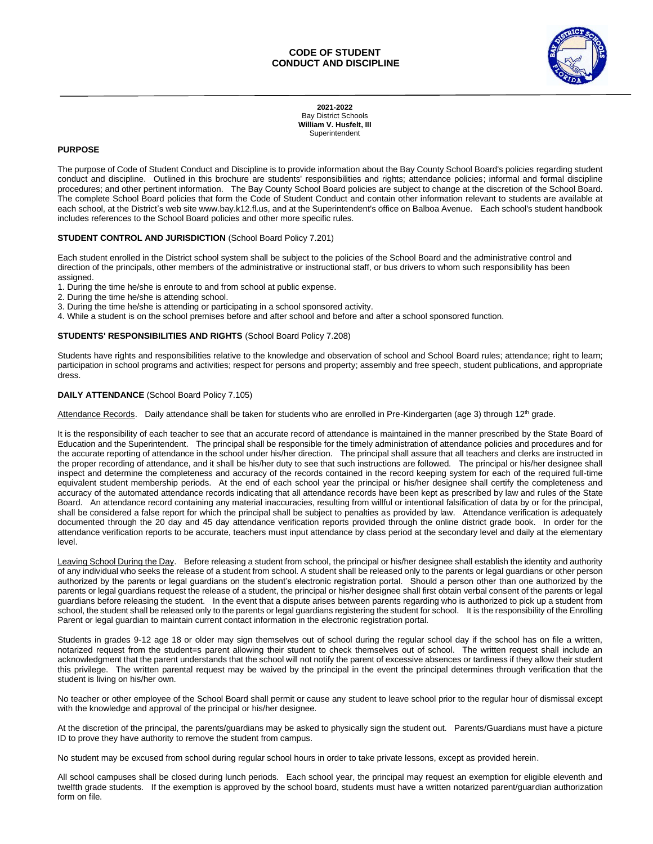

**2021-2022** Bay District Schools **William V. Husfelt, III** Superintendent

# **PURPOSE**

The purpose of Code of Student Conduct and Discipline is to provide information about the Bay County School Board's policies regarding student conduct and discipline. Outlined in this brochure are students' responsibilities and rights; attendance policies; informal and formal discipline procedures; and other pertinent information. The Bay County School Board policies are subject to change at the discretion of the School Board. The complete School Board policies that form the Code of Student Conduct and contain other information relevant to students are available at each school, at the District's web site www.bay.k12.fl.us, and at the Superintendent's office on Balboa Avenue. Each school's student handbook includes references to the School Board policies and other more specific rules.

### **STUDENT CONTROL AND JURISDICTION** (School Board Policy 7.201)

Each student enrolled in the District school system shall be subject to the policies of the School Board and the administrative control and direction of the principals, other members of the administrative or instructional staff, or bus drivers to whom such responsibility has been assigned.

1. During the time he/she is enroute to and from school at public expense.

- 2. During the time he/she is attending school.
- 3. During the time he/she is attending or participating in a school sponsored activity.
- 4. While a student is on the school premises before and after school and before and after a school sponsored function.

### **STUDENTS' RESPONSIBILITIES AND RIGHTS** (School Board Policy 7.208)

Students have rights and responsibilities relative to the knowledge and observation of school and School Board rules; attendance; right to learn; participation in school programs and activities; respect for persons and property; assembly and free speech, student publications, and appropriate dress.

### **DAILY ATTENDANCE** (School Board Policy 7.105)

Attendance Records. Daily attendance shall be taken for students who are enrolled in Pre-Kindergarten (age 3) through 12<sup>th</sup> grade.

It is the responsibility of each teacher to see that an accurate record of attendance is maintained in the manner prescribed by the State Board of Education and the Superintendent. The principal shall be responsible for the timely administration of attendance policies and procedures and for the accurate reporting of attendance in the school under his/her direction. The principal shall assure that all teachers and clerks are instructed in the proper recording of attendance, and it shall be his/her duty to see that such instructions are followed. The principal or his/her designee shall inspect and determine the completeness and accuracy of the records contained in the record keeping system for each of the required full-time equivalent student membership periods. At the end of each school year the principal or his/her designee shall certify the completeness and accuracy of the automated attendance records indicating that all attendance records have been kept as prescribed by law and rules of the State Board. An attendance record containing any material inaccuracies, resulting from willful or intentional falsification of data by or for the principal, shall be considered a false report for which the principal shall be subject to penalties as provided by law. Attendance verification is adequately documented through the 20 day and 45 day attendance verification reports provided through the online district grade book. In order for the attendance verification reports to be accurate, teachers must input attendance by class period at the secondary level and daily at the elementary level.

Leaving School During the Day. Before releasing a student from school, the principal or his/her designee shall establish the identity and authority of any individual who seeks the release of a student from school. A student shall be released only to the parents or legal guardians or other person authorized by the parents or legal guardians on the student's electronic registration portal. Should a person other than one authorized by the parents or legal guardians request the release of a student, the principal or his/her designee shall first obtain verbal consent of the parents or legal guardians before releasing the student. In the event that a dispute arises between parents regarding who is authorized to pick up a student from school, the student shall be released only to the parents or legal guardians registering the student for school. It is the responsibility of the Enrolling Parent or legal guardian to maintain current contact information in the electronic registration portal.

Students in grades 9-12 age 18 or older may sign themselves out of school during the regular school day if the school has on file a written, notarized request from the student=s parent allowing their student to check themselves out of school. The written request shall include an acknowledgment that the parent understands that the school will not notify the parent of excessive absences or tardiness if they allow their student this privilege. The written parental request may be waived by the principal in the event the principal determines through verification that the student is living on his/her own.

No teacher or other employee of the School Board shall permit or cause any student to leave school prior to the regular hour of dismissal except with the knowledge and approval of the principal or his/her designee.

At the discretion of the principal, the parents/guardians may be asked to physically sign the student out. Parents/Guardians must have a picture ID to prove they have authority to remove the student from campus.

No student may be excused from school during regular school hours in order to take private lessons, except as provided herein.

All school campuses shall be closed during lunch periods. Each school year, the principal may request an exemption for eligible eleventh and twelfth grade students. If the exemption is approved by the school board, students must have a written notarized parent/guardian authorization form on file.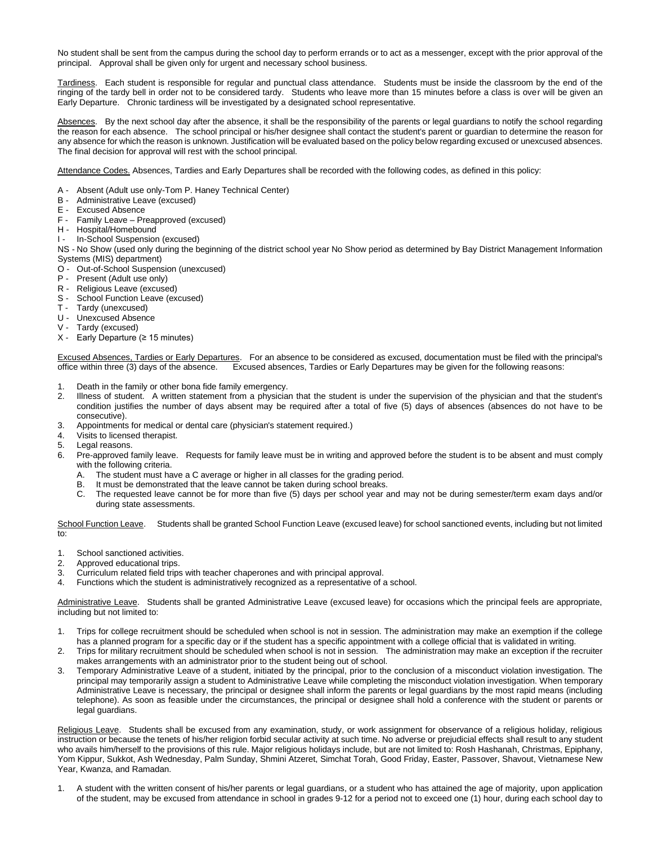No student shall be sent from the campus during the school day to perform errands or to act as a messenger, except with the prior approval of the principal. Approval shall be given only for urgent and necessary school business.

Tardiness. Each student is responsible for regular and punctual class attendance. Students must be inside the classroom by the end of the ringing of the tardy bell in order not to be considered tardy. Students who leave more than 15 minutes before a class is over will be given an Early Departure. Chronic tardiness will be investigated by a designated school representative.

Absences. By the next school day after the absence, it shall be the responsibility of the parents or legal guardians to notify the school regarding the reason for each absence. The school principal or his/her designee shall contact the student's parent or guardian to determine the reason for any absence for which the reason is unknown. Justification will be evaluated based on the policy below regarding excused or unexcused absences. The final decision for approval will rest with the school principal.

Attendance Codes. Absences, Tardies and Early Departures shall be recorded with the following codes, as defined in this policy:

- A Absent (Adult use only-Tom P. Haney Technical Center)
- B Administrative Leave (excused)
- E Excused Absence
- F Family Leave Preapproved (excused)
- H Hospital/Homebound
- I In-School Suspension (excused)

NS - No Show (used only during the beginning of the district school year No Show period as determined by Bay District Management Information Systems (MIS) department)

- O Out-of-School Suspension (unexcused)
- P Present (Adult use only)
- R Religious Leave (excused)
- S School Function Leave (excused)
- T Tardy (unexcused)
- U Unexcused Absence
- V Tardy (excused)
- X Early Departure (≥ 15 minutes)

Excused Absences, Tardies or Early Departures. For an absence to be considered as excused, documentation must be filed with the principal's office within three (3) days of the absence. Excused absences, Tardies or Early Departures may be given for the following reasons:

- 1. Death in the family or other bona fide family emergency.
- 2. Illness of student. A written statement from a physician that the student is under the supervision of the physician and that the student's condition justifies the number of days absent may be required after a total of five (5) days of absences (absences do not have to be consecutive).
- 3. Appointments for medical or dental care (physician's statement required.)
- 4. Visits to licensed therapist.
- 5. Legal reasons.
- 6. Pre-approved family leave. Requests for family leave must be in writing and approved before the student is to be absent and must comply with the following criteria.
	- A. The student must have a C average or higher in all classes for the grading period.
	- B. It must be demonstrated that the leave cannot be taken during school breaks.
	- C. The requested leave cannot be for more than five (5) days per school year and may not be during semester/term exam days and/or during state assessments.

School Function Leave. Students shall be granted School Function Leave (excused leave) for school sanctioned events, including but not limited to:

- 1. School sanctioned activities.
- 2. Approved educational trips.
- 3. Curriculum related field trips with teacher chaperones and with principal approval.
- 4. Functions which the student is administratively recognized as a representative of a school.

Administrative Leave. Students shall be granted Administrative Leave (excused leave) for occasions which the principal feels are appropriate, including but not limited to:

- 1. Trips for college recruitment should be scheduled when school is not in session. The administration may make an exemption if the college has a planned program for a specific day or if the student has a specific appointment with a college official that is validated in writing.
- 2. Trips for military recruitment should be scheduled when school is not in session. The administration may make an exception if the recruiter makes arrangements with an administrator prior to the student being out of school.
- 3. Temporary Administrative Leave of a student, initiated by the principal, prior to the conclusion of a misconduct violation investigation. The principal may temporarily assign a student to Administrative Leave while completing the misconduct violation investigation. When temporary Administrative Leave is necessary, the principal or designee shall inform the parents or legal guardians by the most rapid means (including telephone). As soon as feasible under the circumstances, the principal or designee shall hold a conference with the student or parents or legal guardians.

Religious Leave. Students shall be excused from any examination, study, or work assignment for observance of a religious holiday, religious instruction or because the tenets of his/her religion forbid secular activity at such time. No adverse or prejudicial effects shall result to any student who avails him/herself to the provisions of this rule. Major religious holidays include, but are not limited to: Rosh Hashanah, Christmas, Epiphany, Yom Kippur, Sukkot, Ash Wednesday, Palm Sunday, Shmini Atzeret, Simchat Torah, Good Friday, Easter, Passover, Shavout, Vietnamese New Year, Kwanza, and Ramadan.

1. A student with the written consent of his/her parents or legal guardians, or a student who has attained the age of majority, upon application of the student, may be excused from attendance in school in grades 9-12 for a period not to exceed one (1) hour, during each school day to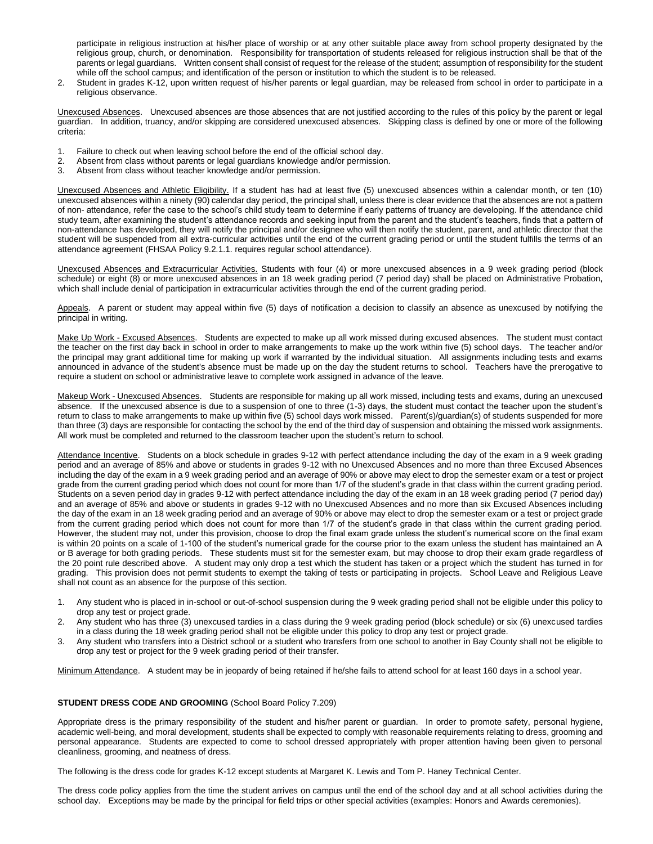participate in religious instruction at his/her place of worship or at any other suitable place away from school property designated by the religious group, church, or denomination. Responsibility for transportation of students released for religious instruction shall be that of the parents or legal guardians. Written consent shall consist of request for the release of the student; assumption of responsibility for the student while off the school campus; and identification of the person or institution to which the student is to be released.

2. Student in grades K-12, upon written request of his/her parents or legal guardian, may be released from school in order to participate in a religious observance.

Unexcused Absences. Unexcused absences are those absences that are not justified according to the rules of this policy by the parent or legal guardian. In addition, truancy, and/or skipping are considered unexcused absences. Skipping class is defined by one or more of the following criteria:

- 1. Failure to check out when leaving school before the end of the official school day.<br>2. Absent from class without parents or legal guardians knowledge and/or permission
- 2. Absent from class without parents or legal guardians knowledge and/or permission.
- 3. Absent from class without teacher knowledge and/or permission.

Unexcused Absences and Athletic Eligibility. If a student has had at least five (5) unexcused absences within a calendar month, or ten (10) unexcused absences within a ninety (90) calendar day period, the principal shall, unless there is clear evidence that the absences are not a pattern of non- attendance, refer the case to the school's child study team to determine if early patterns of truancy are developing. If the attendance child study team, after examining the student's attendance records and seeking input from the parent and the student's teachers, finds that a pattern of non-attendance has developed, they will notify the principal and/or designee who will then notify the student, parent, and athletic director that the student will be suspended from all extra-curricular activities until the end of the current grading period or until the student fulfills the terms of an attendance agreement (FHSAA Policy 9.2.1.1. requires regular school attendance).

Unexcused Absences and Extracurricular Activities. Students with four (4) or more unexcused absences in a 9 week grading period (block schedule) or eight (8) or more unexcused absences in an 18 week grading period (7 period day) shall be placed on Administrative Probation, which shall include denial of participation in extracurricular activities through the end of the current grading period.

Appeals. A parent or student may appeal within five (5) days of notification a decision to classify an absence as unexcused by notifying the principal in writing.

Make Up Work - Excused Absences. Students are expected to make up all work missed during excused absences. The student must contact the teacher on the first day back in school in order to make arrangements to make up the work within five (5) school days. The teacher and/or the principal may grant additional time for making up work if warranted by the individual situation. All assignments including tests and exams announced in advance of the student's absence must be made up on the day the student returns to school. Teachers have the prerogative to require a student on school or administrative leave to complete work assigned in advance of the leave.

Makeup Work - Unexcused Absences. Students are responsible for making up all work missed, including tests and exams, during an unexcused absence. If the unexcused absence is due to a suspension of one to three (1-3) days, the student must contact the teacher upon the student's return to class to make arrangements to make up within five (5) school days work missed. Parent(s)/guardian(s) of students suspended for more than three (3) days are responsible for contacting the school by the end of the third day of suspension and obtaining the missed work assignments. All work must be completed and returned to the classroom teacher upon the student's return to school.

Attendance Incentive. Students on a block schedule in grades 9-12 with perfect attendance including the day of the exam in a 9 week grading period and an average of 85% and above or students in grades 9-12 with no Unexcused Absences and no more than three Excused Absences including the day of the exam in a 9 week grading period and an average of 90% or above may elect to drop the semester exam or a test or project grade from the current grading period which does not count for more than 1/7 of the student's grade in that class within the current grading period. Students on a seven period day in grades 9-12 with perfect attendance including the day of the exam in an 18 week grading period (7 period day) and an average of 85% and above or students in grades 9-12 with no Unexcused Absences and no more than six Excused Absences including the day of the exam in an 18 week grading period and an average of 90% or above may elect to drop the semester exam or a test or project grade from the current grading period which does not count for more than 1/7 of the student's grade in that class within the current grading period. However, the student may not, under this provision, choose to drop the final exam grade unless the student's numerical score on the final exam is within 20 points on a scale of 1-100 of the student's numerical grade for the course prior to the exam unless the student has maintained an A or B average for both grading periods. These students must sit for the semester exam, but may choose to drop their exam grade regardless of the 20 point rule described above. A student may only drop a test which the student has taken or a project which the student has turned in for grading. This provision does not permit students to exempt the taking of tests or participating in projects. School Leave and Religious Leave shall not count as an absence for the purpose of this section.

- 1. Any student who is placed in in-school or out-of-school suspension during the 9 week grading period shall not be eligible under this policy to drop any test or project grade.
- 2. Any student who has three (3) unexcused tardies in a class during the 9 week grading period (block schedule) or six (6) unexcused tardies in a class during the 18 week grading period shall not be eligible under this policy to drop any test or project grade.
- 3. Any student who transfers into a District school or a student who transfers from one school to another in Bay County shall not be eligible to drop any test or project for the 9 week grading period of their transfer.

Minimum Attendance. A student may be in jeopardy of being retained if he/she fails to attend school for at least 160 days in a school year.

# **STUDENT DRESS CODE AND GROOMING** (School Board Policy 7.209)

Appropriate dress is the primary responsibility of the student and his/her parent or guardian. In order to promote safety, personal hygiene, academic well-being, and moral development, students shall be expected to comply with reasonable requirements relating to dress, grooming and personal appearance. Students are expected to come to school dressed appropriately with proper attention having been given to personal cleanliness, grooming, and neatness of dress.

The following is the dress code for grades K-12 except students at Margaret K. Lewis and Tom P. Haney Technical Center.

The dress code policy applies from the time the student arrives on campus until the end of the school day and at all school activities during the school day. Exceptions may be made by the principal for field trips or other special activities (examples: Honors and Awards ceremonies).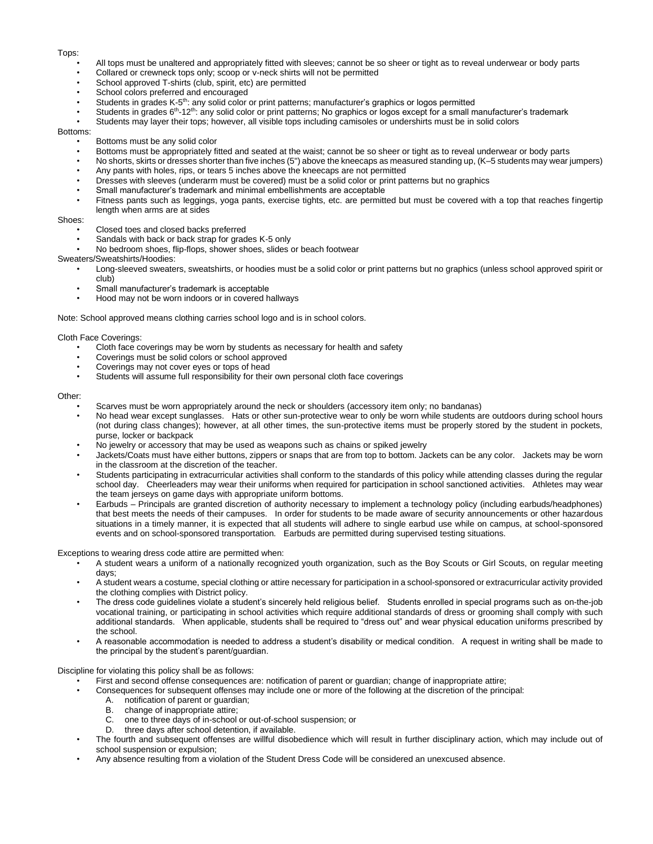#### Tops:

- All tops must be unaltered and appropriately fitted with sleeves; cannot be so sheer or tight as to reveal underwear or body parts
- Collared or crewneck tops only; scoop or v-neck shirts will not be permitted
- School approved T-shirts (club, spirit, etc) are permitted
- School colors preferred and encouraged
- Students in grades K-5 th: any solid color or print patterns; manufacturer's graphics or logos permitted
- Students in grades  $6<sup>th</sup>$ -12<sup>th</sup>: any solid color or print patterns; No graphics or logos except for a small manufacturer's trademark
- Students may layer their tops; however, all visible tops including camisoles or undershirts must be in solid colors

#### Bottoms:

- Bottoms must be any solid color
- Bottoms must be appropriately fitted and seated at the waist; cannot be so sheer or tight as to reveal underwear or body parts
- No shorts, skirts or dresses shorter than five inches (5") above the kneecaps as measured standing up, (K–5 students may wear jumpers)
- Any pants with holes, rips, or tears 5 inches above the kneecaps are not permitted
- Dresses with sleeves (underarm must be covered) must be a solid color or print patterns but no graphics
- Small manufacturer's trademark and minimal embellishments are acceptable
- Fitness pants such as leggings, yoga pants, exercise tights, etc. are permitted but must be covered with a top that reaches fingertip length when arms are at sides

### Shoes:

- Closed toes and closed backs preferred
- Sandals with back or back strap for grades K-5 only
- No bedroom shoes, flip-flops, shower shoes, slides or beach footwear
- Sweaters/Sweatshirts/Hoodies:
	- Long-sleeved sweaters, sweatshirts, or hoodies must be a solid color or print patterns but no graphics (unless school approved spirit or club)
	- Small manufacturer's trademark is acceptable
	- Hood may not be worn indoors or in covered hallways

Note: School approved means clothing carries school logo and is in school colors.

### Cloth Face Coverings:

- Cloth face coverings may be worn by students as necessary for health and safety
- Coverings must be solid colors or school approved
- Coverings may not cover eyes or tops of head
- Students will assume full responsibility for their own personal cloth face coverings

#### Other:

- Scarves must be worn appropriately around the neck or shoulders (accessory item only; no bandanas)
- No head wear except sunglasses. Hats or other sun-protective wear to only be worn while students are outdoors during school hours (not during class changes); however, at all other times, the sun-protective items must be properly stored by the student in pockets, purse, locker or backpack
- No jewelry or accessory that may be used as weapons such as chains or spiked jewelry
- Jackets/Coats must have either buttons, zippers or snaps that are from top to bottom. Jackets can be any color. Jackets may be worn in the classroom at the discretion of the teacher.
- Students participating in extracurricular activities shall conform to the standards of this policy while attending classes during the regular school day. Cheerleaders may wear their uniforms when required for participation in school sanctioned activities. Athletes may wear the team jerseys on game days with appropriate uniform bottoms.
- Earbuds Principals are granted discretion of authority necessary to implement a technology policy (including earbuds/headphones) that best meets the needs of their campuses. In order for students to be made aware of security announcements or other hazardous situations in a timely manner, it is expected that all students will adhere to single earbud use while on campus, at school-sponsored events and on school-sponsored transportation. Earbuds are permitted during supervised testing situations.

Exceptions to wearing dress code attire are permitted when:

- A student wears a uniform of a nationally recognized youth organization, such as the Boy Scouts or Girl Scouts, on regular meeting days;
- A student wears a costume, special clothing or attire necessary for participation in a school-sponsored or extracurricular activity provided the clothing complies with District policy.
- The dress code guidelines violate a student's sincerely held religious belief. Students enrolled in special programs such as on-the-job vocational training, or participating in school activities which require additional standards of dress or grooming shall comply with such additional standards. When applicable, students shall be required to "dress out" and wear physical education uniforms prescribed by the school.
- A reasonable accommodation is needed to address a student's disability or medical condition. A request in writing shall be made to the principal by the student's parent/guardian.

Discipline for violating this policy shall be as follows:

- First and second offense consequences are: notification of parent or guardian; change of inappropriate attire;
- Consequences for subsequent offenses may include one or more of the following at the discretion of the principal:
	- A. notification of parent or guardian;
	- B. change of inappropriate attire;
	- C. one to three days of in-school or out-of-school suspension; or
	- D. three days after school detention, if available.
- The fourth and subsequent offenses are willful disobedience which will result in further disciplinary action, which may include out of school suspension or expulsion;
- Any absence resulting from a violation of the Student Dress Code will be considered an unexcused absence.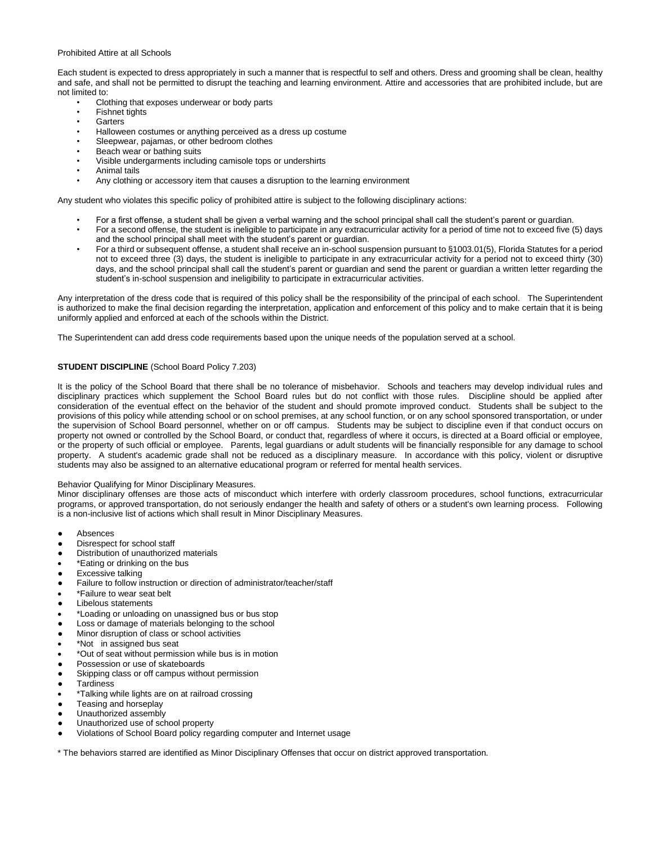### Prohibited Attire at all Schools

Each student is expected to dress appropriately in such a manner that is respectful to self and others. Dress and grooming shall be clean, healthy and safe, and shall not be permitted to disrupt the teaching and learning environment. Attire and accessories that are prohibited include, but are not limited to:

- Clothing that exposes underwear or body parts
- Fishnet tights
- **Garters**
- Halloween costumes or anything perceived as a dress up costume
- Sleepwear, pajamas, or other bedroom clothes
- Beach wear or bathing suits
- Visible undergarments including camisole tops or undershirts
- Animal tails
- Any clothing or accessory item that causes a disruption to the learning environment

Any student who violates this specific policy of prohibited attire is subject to the following disciplinary actions:

- For a first offense, a student shall be given a verbal warning and the school principal shall call the student's parent or guardian.
- For a second offense, the student is ineligible to participate in any extracurricular activity for a period of time not to exceed five (5) days and the school principal shall meet with the student's parent or guardian.
- For a third or subsequent offense, a student shall receive an in-school suspension pursuant to §1003.01(5), Florida Statutes for a period not to exceed three (3) days, the student is ineligible to participate in any extracurricular activity for a period not to exceed thirty (30) days, and the school principal shall call the student's parent or guardian and send the parent or guardian a written letter regarding the student's in-school suspension and ineligibility to participate in extracurricular activities.

Any interpretation of the dress code that is required of this policy shall be the responsibility of the principal of each school. The Superintendent is authorized to make the final decision regarding the interpretation, application and enforcement of this policy and to make certain that it is being uniformly applied and enforced at each of the schools within the District.

The Superintendent can add dress code requirements based upon the unique needs of the population served at a school.

# **STUDENT DISCIPLINE** (School Board Policy 7.203)

It is the policy of the School Board that there shall be no tolerance of misbehavior. Schools and teachers may develop individual rules and disciplinary practices which supplement the School Board rules but do not conflict with those rules. Discipline should be applied after consideration of the eventual effect on the behavior of the student and should promote improved conduct. Students shall be subject to the provisions of this policy while attending school or on school premises, at any school function, or on any school sponsored transportation, or under the supervision of School Board personnel, whether on or off campus. Students may be subject to discipline even if that conduct occurs on property not owned or controlled by the School Board, or conduct that, regardless of where it occurs, is directed at a Board official or employee, or the property of such official or employee. Parents, legal guardians or adult students will be financially responsible for any damage to school property. A student's academic grade shall not be reduced as a disciplinary measure. In accordance with this policy, violent or disruptive students may also be assigned to an alternative educational program or referred for mental health services.

# Behavior Qualifying for Minor Disciplinary Measures.

Minor disciplinary offenses are those acts of misconduct which interfere with orderly classroom procedures, school functions, extracurricular programs, or approved transportation, do not seriously endanger the health and safety of others or a student's own learning process. Following is a non-inclusive list of actions which shall result in Minor Disciplinary Measures.

- **Absences**
- Disrespect for school staff
- Distribution of unauthorized materials
- \*Eating or drinking on the bus
- **Excessive talking**
- Failure to follow instruction or direction of administrator/teacher/staff
- \*Failure to wear seat belt
- Libelous statements
- \*Loading or unloading on unassigned bus or bus stop
- Loss or damage of materials belonging to the school
- Minor disruption of class or school activities
- \*Not in assigned bus seat
- \*Out of seat without permission while bus is in motion
- Possession or use of skateboards
- Skipping class or off campus without permission
- **Tardiness**
- \*Talking while lights are on at railroad crossing
- Teasing and horseplay
- Unauthorized assembly
- Unauthorized use of school property
- Violations of School Board policy regarding computer and Internet usage

\* The behaviors starred are identified as Minor Disciplinary Offenses that occur on district approved transportation.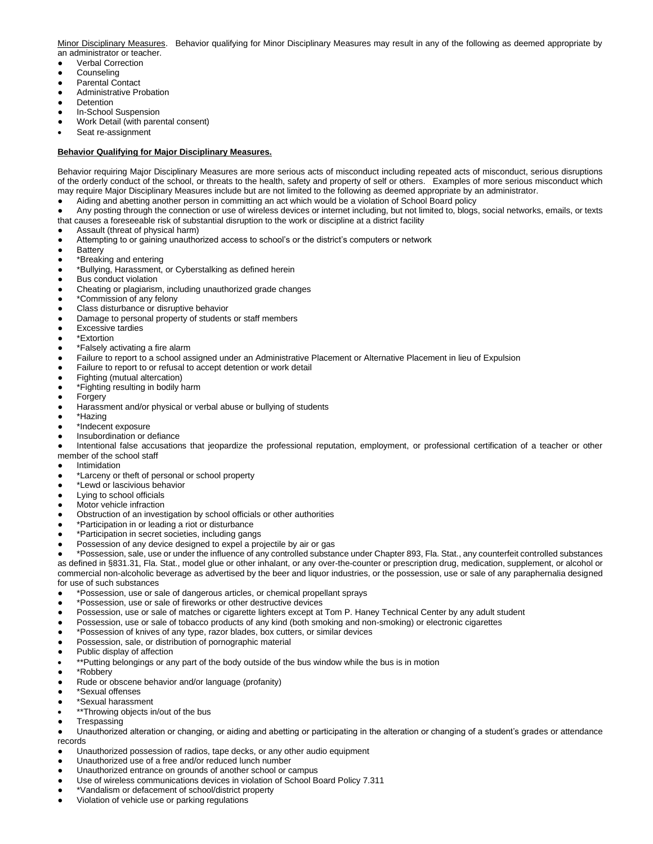Minor Disciplinary Measures. Behavior qualifying for Minor Disciplinary Measures may result in any of the following as deemed appropriate by an administrator or teacher.

- Verbal Correction
- Counseling
- Parental Contact
- **Administrative Probation**
- Detention
- In-School Suspension
- Work Detail (with parental consent)
- Seat re-assignment

# **Behavior Qualifying for Major Disciplinary Measures.**

Behavior requiring Major Disciplinary Measures are more serious acts of misconduct including repeated acts of misconduct, serious disruptions of the orderly conduct of the school, or threats to the health, safety and property of self or others. Examples of more serious misconduct which may require Major Disciplinary Measures include but are not limited to the following as deemed appropriate by an administrator.

Aiding and abetting another person in committing an act which would be a violation of School Board policy

Any posting through the connection or use of wireless devices or internet including, but not limited to, blogs, social networks, emails, or texts that causes a foreseeable risk of substantial disruption to the work or discipline at a district facility

- Assault (threat of physical harm)
- Attempting to or gaining unauthorized access to school's or the district's computers or network
- **Battery**
- \*Breaking and entering
- \*Bullying, Harassment, or Cyberstalking as defined herein
- **Bus conduct violation**
- Cheating or plagiarism, including unauthorized grade changes
- \*Commission of any felony
- Class disturbance or disruptive behavior
- Damage to personal property of students or staff members
- **Excessive tardies**
- \*Extortion
- \*Falsely activating a fire alarm
- Failure to report to a school assigned under an Administrative Placement or Alternative Placement in lieu of Expulsion
- Failure to report to or refusal to accept detention or work detail
- Fighting (mutual altercation)
- \*Fighting resulting in bodily harm
- **Forgery**
- Harassment and/or physical or verbal abuse or bullying of students
- \*Hazing
- \*Indecent exposure
- Insubordination or defiance

Intentional false accusations that jeopardize the professional reputation, employment, or professional certification of a teacher or other member of the school staff

- Intimidation
- \*Larceny or theft of personal or school property
- \*Lewd or lascivious behavior
- **Lying to school officials**
- Motor vehicle infraction
- Obstruction of an investigation by school officials or other authorities
- \*Participation in or leading a riot or disturbance
- \*Participation in secret societies, including gangs
- Possession of any device designed to expel a projectile by air or gas

● \*Possession, sale, use or under the influence of any controlled substance under Chapter 893, Fla. Stat., any counterfeit controlled substances as defined in §831.31, Fla. Stat., model glue or other inhalant, or any over-the-counter or prescription drug, medication, supplement, or alcohol or commercial non-alcoholic beverage as advertised by the beer and liquor industries, or the possession, use or sale of any paraphernalia designed for use of such substances

- \*Possession, use or sale of dangerous articles, or chemical propellant sprays
- \*Possession, use or sale of fireworks or other destructive devices
- Possession, use or sale of matches or cigarette lighters except at Tom P. Haney Technical Center by any adult student
- Possession, use or sale of tobacco products of any kind (both smoking and non-smoking) or electronic cigarettes
- \*Possession of knives of any type, razor blades, box cutters, or similar devices
- Possession, sale, or distribution of pornographic material
- Public display of affection
- \*\*Putting belongings or any part of the body outside of the bus window while the bus is in motion
- \*Robbery
- Rude or obscene behavior and/or language (profanity)
- \*Sexual offenses
- \*Sexual harassment
- \*\*Throwing objects in/out of the bus
- **Trespassing**

Unauthorized alteration or changing, or aiding and abetting or participating in the alteration or changing of a student's grades or attendance records

- Unauthorized possession of radios, tape decks, or any other audio equipment
- Unauthorized use of a free and/or reduced lunch number
- Unauthorized entrance on grounds of another school or campus
- Use of wireless communications devices in violation of School Board Policy 7.311
- \*Vandalism or defacement of school/district property
- Violation of vehicle use or parking regulations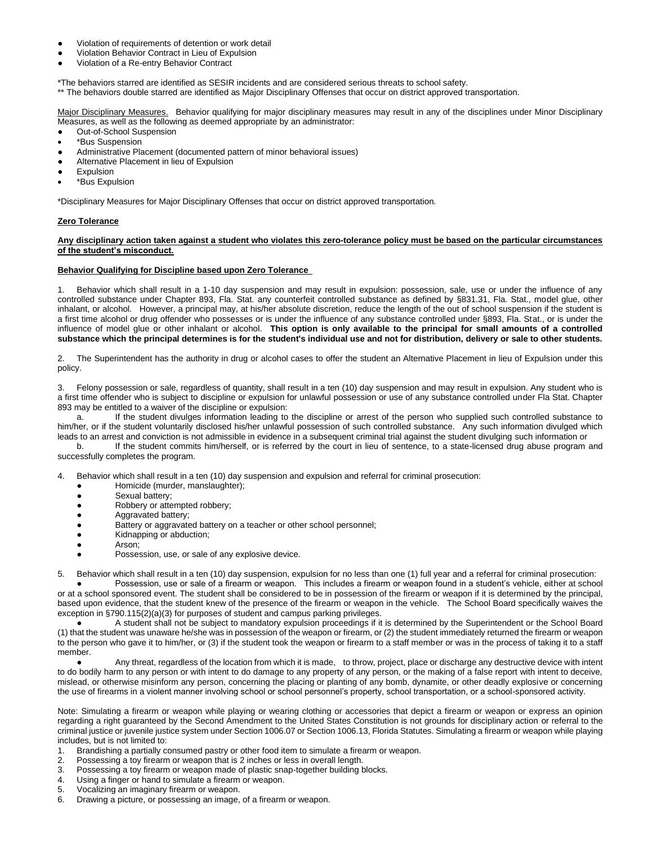- Violation of requirements of detention or work detail
- Violation Behavior Contract in Lieu of Expulsion
- Violation of a Re-entry Behavior Contract

\*The behaviors starred are identified as SESIR incidents and are considered serious threats to school safety.

\*\* The behaviors double starred are identified as Major Disciplinary Offenses that occur on district approved transportation.

Major Disciplinary Measures. Behavior qualifying for major disciplinary measures may result in any of the disciplines under Minor Disciplinary Measures, as well as the following as deemed appropriate by an administrator:

- Out-of-School Suspension
- \*Bus Suspension
- Administrative Placement (documented pattern of minor behavioral issues)
- Alternative Placement in lieu of Expulsion
- **Expulsion**
- \*Bus Expulsion

\*Disciplinary Measures for Major Disciplinary Offenses that occur on district approved transportation.

# **Zero Tolerance**

### **Any disciplinary action taken against a student who violates this zero-tolerance policy must be based on the particular circumstances of the student's misconduct.**

### **Behavior Qualifying for Discipline based upon Zero Tolerance**

Behavior which shall result in a 1-10 day suspension and may result in expulsion: possession, sale, use or under the influence of any controlled substance under Chapter 893, Fla. Stat. any counterfeit controlled substance as defined by §831.31, Fla. Stat., model glue, other inhalant, or alcohol. However, a principal may, at his/her absolute discretion, reduce the length of the out of school suspension if the student is a first time alcohol or drug offender who possesses or is under the influence of any substance controlled under §893, Fla. Stat., or is under the influence of model glue or other inhalant or alcohol. **This option is only available to the principal for small amounts of a controlled substance which the principal determines is for the student's individual use and not for distribution, delivery or sale to other students.**

2. The Superintendent has the authority in drug or alcohol cases to offer the student an Alternative Placement in lieu of Expulsion under this policy.

Felony possession or sale, regardless of quantity, shall result in a ten (10) day suspension and may result in expulsion. Any student who is a first time offender who is subject to discipline or expulsion for unlawful possession or use of any substance controlled under Fla Stat. Chapter 893 may be entitled to a waiver of the discipline or expulsion:

a. If the student divulges information leading to the discipline or arrest of the person who supplied such controlled substance to him/her, or if the student voluntarily disclosed his/her unlawful possession of such controlled substance. Any such information divulged which leads to an arrest and conviction is not admissible in evidence in a subsequent criminal trial against the student divulging such information or

b. If the student commits him/herself, or is referred by the court in lieu of sentence, to a state-licensed drug abuse program and successfully completes the program.

4. Behavior which shall result in a ten (10) day suspension and expulsion and referral for criminal prosecution:

- Homicide (murder, manslaughter);
- Sexual battery;
- Robbery or attempted robbery;
- Aggravated battery;
	- Battery or aggravated battery on a teacher or other school personnel;
- Kidnapping or abduction;
- Arson;
- Possession, use, or sale of any explosive device.

5. Behavior which shall result in a ten (10) day suspension, expulsion for no less than one (1) full year and a referral for criminal prosecution:

Possession, use or sale of a firearm or weapon. This includes a firearm or weapon found in a student's vehicle, either at school or at a school sponsored event. The student shall be considered to be in possession of the firearm or weapon if it is determined by the principal, based upon evidence, that the student knew of the presence of the firearm or weapon in the vehicle. The School Board specifically waives the exception in §790.115(2)(a)(3) for purposes of student and campus parking privileges.

A student shall not be subject to mandatory expulsion proceedings if it is determined by the Superintendent or the School Board (1) that the student was unaware he/she was in possession of the weapon or firearm, or (2) the student immediately returned the firearm or weapon to the person who gave it to him/her, or (3) if the student took the weapon or firearm to a staff member or was in the process of taking it to a staff member.

Any threat, regardless of the location from which it is made, to throw, project, place or discharge any destructive device with intent to do bodily harm to any person or with intent to do damage to any property of any person, or the making of a false report with intent to deceive, mislead, or otherwise misinform any person, concerning the placing or planting of any bomb, dynamite, or other deadly explosive or concerning the use of firearms in a violent manner involving school or school personnel's property, school transportation, or a school-sponsored activity.

Note: Simulating a firearm or weapon while playing or wearing clothing or accessories that depict a firearm or weapon or express an opinion regarding a right guaranteed by the Second Amendment to the United States Constitution is not grounds for disciplinary action or referral to the criminal justice or juvenile justice system under Section 1006.07 or Section 1006.13, Florida Statutes. Simulating a firearm or weapon while playing includes, but is not limited to:

- 1. Brandishing a partially consumed pastry or other food item to simulate a firearm or weapon.
- 2. Possessing a toy firearm or weapon that is 2 inches or less in overall length.
- 3. Possessing a toy firearm or weapon made of plastic snap-together building blocks.<br>4. I lising a finger or band to simulate a firearm or weapon
- Using a finger or hand to simulate a firearm or weapon.
- 5. Vocalizing an imaginary firearm or weapon.
- 6. Drawing a picture, or possessing an image, of a firearm or weapon.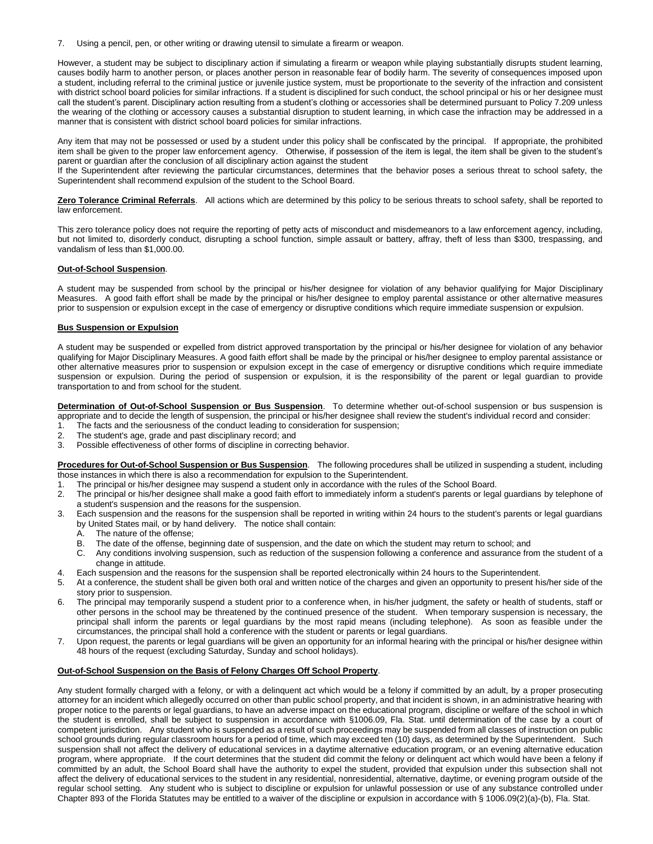7. Using a pencil, pen, or other writing or drawing utensil to simulate a firearm or weapon.

However, a student may be subject to disciplinary action if simulating a firearm or weapon while playing substantially disrupts student learning, causes bodily harm to another person, or places another person in reasonable fear of bodily harm. The severity of consequences imposed upon a student, including referral to the criminal justice or juvenile justice system, must be proportionate to the severity of the infraction and consistent with district school board policies for similar infractions. If a student is disciplined for such conduct, the school principal or his or her designee must call the student's parent. Disciplinary action resulting from a student's clothing or accessories shall be determined pursuant to Policy 7.209 unless the wearing of the clothing or accessory causes a substantial disruption to student learning, in which case the infraction may be addressed in a manner that is consistent with district school board policies for similar infractions.

Any item that may not be possessed or used by a student under this policy shall be confiscated by the principal. If appropriate, the prohibited item shall be given to the proper law enforcement agency. Otherwise, if possession of the item is legal, the item shall be given to the student's parent or guardian after the conclusion of all disciplinary action against the student

If the Superintendent after reviewing the particular circumstances, determines that the behavior poses a serious threat to school safety, the Superintendent shall recommend expulsion of the student to the School Board.

**Zero Tolerance Criminal Referrals**. All actions which are determined by this policy to be serious threats to school safety, shall be reported to law enforcement.

This zero tolerance policy does not require the reporting of petty acts of misconduct and misdemeanors to a law enforcement agency, including, but not limited to, disorderly conduct, disrupting a school function, simple assault or battery, affray, theft of less than \$300, trespassing, and vandalism of less than \$1,000.00.

# **Out-of-School Suspension**.

A student may be suspended from school by the principal or his/her designee for violation of any behavior qualifying for Major Disciplinary Measures. A good faith effort shall be made by the principal or his/her designee to employ parental assistance or other alternative measures prior to suspension or expulsion except in the case of emergency or disruptive conditions which require immediate suspension or expulsion.

# **Bus Suspension or Expulsion**

A student may be suspended or expelled from district approved transportation by the principal or his/her designee for violation of any behavior qualifying for Major Disciplinary Measures. A good faith effort shall be made by the principal or his/her designee to employ parental assistance or other alternative measures prior to suspension or expulsion except in the case of emergency or disruptive conditions which require immediate suspension or expulsion. During the period of suspension or expulsion, it is the responsibility of the parent or legal guardian to provide transportation to and from school for the student.

**Determination of Out-of-School Suspension or Bus Suspension**. To determine whether out-of-school suspension or bus suspension is appropriate and to decide the length of suspension, the principal or his/her designee shall review the student's individual record and consider:

- 1. The facts and the seriousness of the conduct leading to consideration for suspension;
- 2. The student's age, grade and past disciplinary record; and
- 3. Possible effectiveness of other forms of discipline in correcting behavior.

**Procedures for Out-of-School Suspension or Bus Suspension**. The following procedures shall be utilized in suspending a student, including those instances in which there is also a recommendation for expulsion to the Superintendent.

- 1. The principal or his/her designee may suspend a student only in accordance with the rules of the School Board.
- 2. The principal or his/her designee shall make a good faith effort to immediately inform a student's parents or legal guardians by telephone of a student's suspension and the reasons for the suspension.
- 3. Each suspension and the reasons for the suspension shall be reported in writing within 24 hours to the student's parents or legal guardians by United States mail, or by hand delivery. The notice shall contain:
	- A. The nature of the offense;
	- B. The date of the offense, beginning date of suspension, and the date on which the student may return to school; and
	- C. Any conditions involving suspension, such as reduction of the suspension following a conference and assurance from the student of a change in attitude.
- 4. Each suspension and the reasons for the suspension shall be reported electronically within 24 hours to the Superintendent.
- 5. At a conference, the student shall be given both oral and written notice of the charges and given an opportunity to present his/her side of the story prior to suspension.
- The principal may temporarily suspend a student prior to a conference when, in his/her judgment, the safety or health of students, staff or other persons in the school may be threatened by the continued presence of the student. When temporary suspension is necessary, the principal shall inform the parents or legal guardians by the most rapid means (including telephone). As soon as feasible under the circumstances, the principal shall hold a conference with the student or parents or legal guardians.
- 7. Upon request, the parents or legal guardians will be given an opportunity for an informal hearing with the principal or his/her designee within 48 hours of the request (excluding Saturday, Sunday and school holidays).

# **Out-of-School Suspension on the Basis of Felony Charges Off School Property**.

Any student formally charged with a felony, or with a delinquent act which would be a felony if committed by an adult, by a proper prosecuting attorney for an incident which allegedly occurred on other than public school property, and that incident is shown, in an administrative hearing with proper notice to the parents or legal guardians, to have an adverse impact on the educational program, discipline or welfare of the school in which the student is enrolled, shall be subject to suspension in accordance with §1006.09, Fla. Stat. until determination of the case by a court of competent jurisdiction. Any student who is suspended as a result of such proceedings may be suspended from all classes of instruction on public school grounds during regular classroom hours for a period of time, which may exceed ten (10) days, as determined by the Superintendent. Such suspension shall not affect the delivery of educational services in a daytime alternative education program, or an evening alternative education program, where appropriate. If the court determines that the student did commit the felony or delinquent act which would have been a felony if committed by an adult, the School Board shall have the authority to expel the student, provided that expulsion under this subsection shall not affect the delivery of educational services to the student in any residential, nonresidential, alternative, daytime, or evening program outside of the regular school setting. Any student who is subject to discipline or expulsion for unlawful possession or use of any substance controlled under Chapter 893 of the Florida Statutes may be entitled to a waiver of the discipline or expulsion in accordance with § 1006.09(2)(a)-(b), Fla. Stat.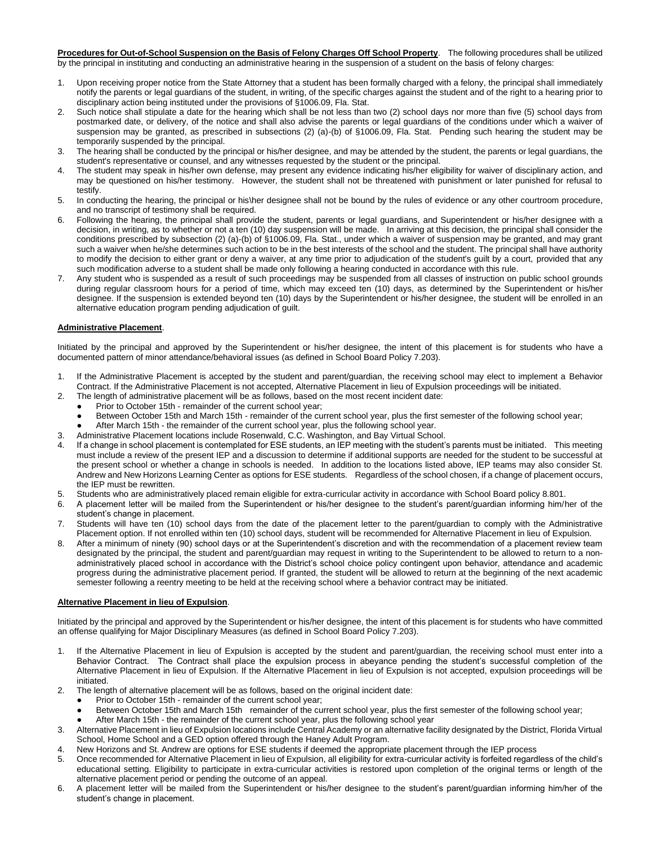**Procedures for Out-of-School Suspension on the Basis of Felony Charges Off School Property**. The following procedures shall be utilized by the principal in instituting and conducting an administrative hearing in the suspension of a student on the basis of felony charges:

- 1. Upon receiving proper notice from the State Attorney that a student has been formally charged with a felony, the principal shall immediately notify the parents or legal guardians of the student, in writing, of the specific charges against the student and of the right to a hearing prior to disciplinary action being instituted under the provisions of §1006.09, Fla. Stat.
- 2. Such notice shall stipulate a date for the hearing which shall be not less than two (2) school days nor more than five (5) school days from postmarked date, or delivery, of the notice and shall also advise the parents or legal guardians of the conditions under which a waiver of suspension may be granted, as prescribed in subsections (2) (a)-(b) of §1006.09, Fla. Stat. Pending such hearing the student may be temporarily suspended by the principal.
- 3. The hearing shall be conducted by the principal or his/her designee, and may be attended by the student, the parents or legal guardians, the student's representative or counsel, and any witnesses requested by the student or the principal.
- 4. The student may speak in his/her own defense, may present any evidence indicating his/her eligibility for waiver of disciplinary action, and may be questioned on his/her testimony. However, the student shall not be threatened with punishment or later punished for refusal to testify.
- 5. In conducting the hearing, the principal or his\her designee shall not be bound by the rules of evidence or any other courtroom procedure, and no transcript of testimony shall be required.
- 6. Following the hearing, the principal shall provide the student, parents or legal guardians, and Superintendent or his/her designee with a decision, in writing, as to whether or not a ten (10) day suspension will be made. In arriving at this decision, the principal shall consider the conditions prescribed by subsection (2) (a)-(b) of §1006.09, Fla. Stat., under which a waiver of suspension may be granted, and may grant such a waiver when he/she determines such action to be in the best interests of the school and the student. The principal shall have authority to modify the decision to either grant or deny a waiver, at any time prior to adjudication of the student's guilt by a court, provided that any such modification adverse to a student shall be made only following a hearing conducted in accordance with this rule.
- 7. Any student who is suspended as a result of such proceedings may be suspended from all classes of instruction on public school grounds during regular classroom hours for a period of time, which may exceed ten (10) days, as determined by the Superintendent or his/her designee. If the suspension is extended beyond ten (10) days by the Superintendent or his/her designee, the student will be enrolled in an alternative education program pending adjudication of guilt.

# **Administrative Placement**.

Initiated by the principal and approved by the Superintendent or his/her designee, the intent of this placement is for students who have a documented pattern of minor attendance/behavioral issues (as defined in School Board Policy 7.203).

- 1. If the Administrative Placement is accepted by the student and parent/guardian, the receiving school may elect to implement a Behavior Contract. If the Administrative Placement is not accepted, Alternative Placement in lieu of Expulsion proceedings will be initiated.
- 2. The length of administrative placement will be as follows, based on the most recent incident date:
	- Prior to October 15th remainder of the current school year;
	- Between October 15th and March 15th remainder of the current school year, plus the first semester of the following school year;
	- After March 15th the remainder of the current school year, plus the following school year.
	- 3. Administrative Placement locations include Rosenwald, C.C. Washington, and Bay Virtual School.
- 4. If a change in school placement is contemplated for ESE students, an IEP meeting with the student's parents must be initiated. This meeting must include a review of the present IEP and a discussion to determine if additional supports are needed for the student to be successful at the present school or whether a change in schools is needed. In addition to the locations listed above, IEP teams may also consider St. Andrew and New Horizons Learning Center as options for ESE students. Regardless of the school chosen, if a change of placement occurs, the IEP must be rewritten.
- 5. Students who are administratively placed remain eligible for extra-curricular activity in accordance with School Board policy 8.801.
- 6. A placement letter will be mailed from the Superintendent or his/her designee to the student's parent/guardian informing him/her of the student's change in placement.
- 7. Students will have ten (10) school days from the date of the placement letter to the parent/guardian to comply with the Administrative Placement option. If not enrolled within ten (10) school days, student will be recommended for Alternative Placement in lieu of Expulsion.
- 8. After a minimum of ninety (90) school days or at the Superintendent's discretion and with the recommendation of a placement review team designated by the principal, the student and parent/guardian may request in writing to the Superintendent to be allowed to return to a nonadministratively placed school in accordance with the District's school choice policy contingent upon behavior, attendance and academic progress during the administrative placement period. If granted, the student will be allowed to return at the beginning of the next academic semester following a reentry meeting to be held at the receiving school where a behavior contract may be initiated.

# **Alternative Placement in lieu of Expulsion**.

Initiated by the principal and approved by the Superintendent or his/her designee, the intent of this placement is for students who have committed an offense qualifying for Major Disciplinary Measures (as defined in School Board Policy 7.203).

- 1. If the Alternative Placement in lieu of Expulsion is accepted by the student and parent/guardian, the receiving school must enter into a Behavior Contract. The Contract shall place the expulsion process in abeyance pending the student's successful completion of the Alternative Placement in lieu of Expulsion. If the Alternative Placement in lieu of Expulsion is not accepted, expulsion proceedings will be initiated.
- 2. The length of alternative placement will be as follows, based on the original incident date:
	- Prior to October 15th remainder of the current school year;
	- Between October 15th and March 15th remainder of the current school year, plus the first semester of the following school year;
	- After March 15th the remainder of the current school year, plus the following school year
- 3. Alternative Placement in lieu of Expulsion locations include Central Academy or an alternative facility designated by the District, Florida Virtual School, Home School and a GED option offered through the Haney Adult Program.
- 4. New Horizons and St. Andrew are options for ESE students if deemed the appropriate placement through the IEP process
- 5. Once recommended for Alternative Placement in lieu of Expulsion, all eligibility for extra-curricular activity is forfeited regardless of the child's educational setting. Eligibility to participate in extra-curricular activities is restored upon completion of the original terms or length of the alternative placement period or pending the outcome of an appeal.
- 6. A placement letter will be mailed from the Superintendent or his/her designee to the student's parent/guardian informing him/her of the student's change in placement.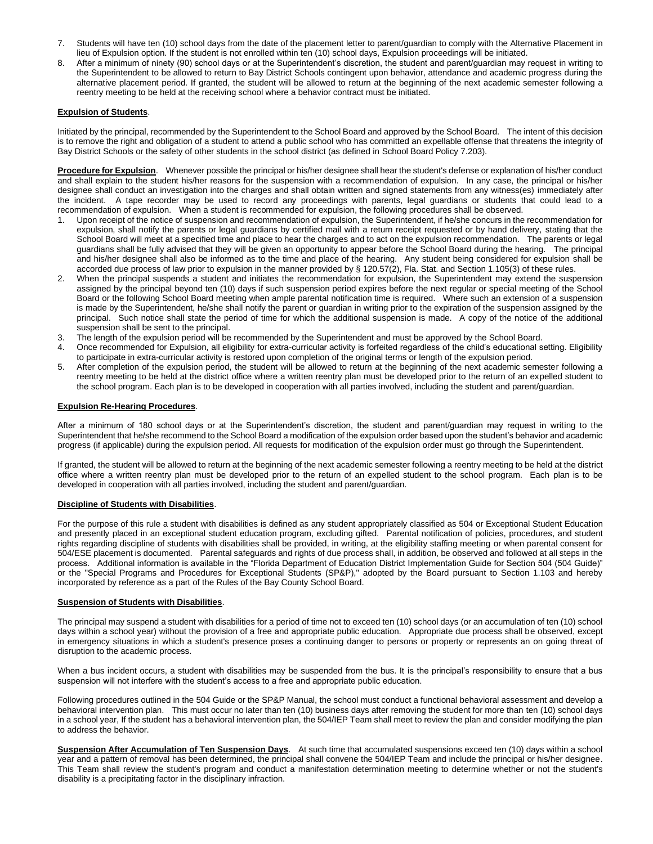- 7. Students will have ten (10) school days from the date of the placement letter to parent/guardian to comply with the Alternative Placement in lieu of Expulsion option. If the student is not enrolled within ten (10) school days, Expulsion proceedings will be initiated.
- 8. After a minimum of ninety (90) school days or at the Superintendent's discretion, the student and parent/guardian may request in writing to the Superintendent to be allowed to return to Bay District Schools contingent upon behavior, attendance and academic progress during the alternative placement period. If granted, the student will be allowed to return at the beginning of the next academic semester following a reentry meeting to be held at the receiving school where a behavior contract must be initiated.

# **Expulsion of Students**.

Initiated by the principal, recommended by the Superintendent to the School Board and approved by the School Board. The intent of this decision is to remove the right and obligation of a student to attend a public school who has committed an expellable offense that threatens the integrity of Bay District Schools or the safety of other students in the school district (as defined in School Board Policy 7.203).

**Procedure for Expulsion**. Whenever possible the principal or his/her designee shall hear the student's defense or explanation of his/her conduct and shall explain to the student his/her reasons for the suspension with a recommendation of expulsion. In any case, the principal or his/her designee shall conduct an investigation into the charges and shall obtain written and signed statements from any witness(es) immediately after the incident. A tape recorder may be used to record any proceedings with parents, legal guardians or students that could lead to a recommendation of expulsion. When a student is recommended for expulsion, the following procedures shall be observed.

- 1. Upon receipt of the notice of suspension and recommendation of expulsion, the Superintendent, if he/she concurs in the recommendation for expulsion, shall notify the parents or legal guardians by certified mail with a return receipt requested or by hand delivery, stating that the School Board will meet at a specified time and place to hear the charges and to act on the expulsion recommendation. The parents or legal guardians shall be fully advised that they will be given an opportunity to appear before the School Board during the hearing. The principal and his/her designee shall also be informed as to the time and place of the hearing. Any student being considered for expulsion shall be accorded due process of law prior to expulsion in the manner provided by § 120.57(2), Fla. Stat. and Section 1.105(3) of these rules.
- 2. When the principal suspends a student and initiates the recommendation for expulsion, the Superintendent may extend the suspension assigned by the principal beyond ten (10) days if such suspension period expires before the next regular or special meeting of the School Board or the following School Board meeting when ample parental notification time is required. Where such an extension of a suspension is made by the Superintendent, he/she shall notify the parent or guardian in writing prior to the expiration of the suspension assigned by the principal. Such notice shall state the period of time for which the additional suspension is made. A copy of the notice of the additional suspension shall be sent to the principal.
- 3. The length of the expulsion period will be recommended by the Superintendent and must be approved by the School Board.
- 4. Once recommended for Expulsion, all eligibility for extra-curricular activity is forfeited regardless of the child's educational setting. Eligibility to participate in extra-curricular activity is restored upon completion of the original terms or length of the expulsion period.
- 5. After completion of the expulsion period, the student will be allowed to return at the beginning of the next academic semester following a reentry meeting to be held at the district office where a written reentry plan must be developed prior to the return of an expelled student to the school program. Each plan is to be developed in cooperation with all parties involved, including the student and parent/guardian.

### **Expulsion Re-Hearing Procedures**.

After a minimum of 180 school days or at the Superintendent's discretion, the student and parent/guardian may request in writing to the Superintendent that he/she recommend to the School Board a modification of the expulsion order based upon the student's behavior and academic progress (if applicable) during the expulsion period. All requests for modification of the expulsion order must go through the Superintendent.

If granted, the student will be allowed to return at the beginning of the next academic semester following a reentry meeting to be held at the district office where a written reentry plan must be developed prior to the return of an expelled student to the school program. Each plan is to be developed in cooperation with all parties involved, including the student and parent/guardian.

### **Discipline of Students with Disabilities**.

For the purpose of this rule a student with disabilities is defined as any student appropriately classified as 504 or Exceptional Student Education and presently placed in an exceptional student education program, excluding gifted. Parental notification of policies, procedures, and student rights regarding discipline of students with disabilities shall be provided, in writing, at the eligibility staffing meeting or when parental consent for 504/ESE placement is documented. Parental safeguards and rights of due process shall, in addition, be observed and followed at all steps in the process. Additional information is available in the "Florida Department of Education District Implementation Guide for Section 504 (504 Guide)" or the "Special Programs and Procedures for Exceptional Students (SP&P)," adopted by the Board pursuant to Section 1.103 and hereby incorporated by reference as a part of the Rules of the Bay County School Board.

### **Suspension of Students with Disabilities**.

The principal may suspend a student with disabilities for a period of time not to exceed ten (10) school days (or an accumulation of ten (10) school days within a school year) without the provision of a free and appropriate public education. Appropriate due process shall be observed, except in emergency situations in which a student's presence poses a continuing danger to persons or property or represents an on going threat of disruption to the academic process.

When a bus incident occurs, a student with disabilities may be suspended from the bus. It is the principal's responsibility to ensure that a bus suspension will not interfere with the student's access to a free and appropriate public education.

Following procedures outlined in the 504 Guide or the SP&P Manual, the school must conduct a functional behavioral assessment and develop a behavioral intervention plan. This must occur no later than ten (10) business days after removing the student for more than ten (10) school days in a school year, If the student has a behavioral intervention plan, the 504/IEP Team shall meet to review the plan and consider modifying the plan to address the behavior.

**Suspension After Accumulation of Ten Suspension Days**. At such time that accumulated suspensions exceed ten (10) days within a school year and a pattern of removal has been determined, the principal shall convene the 504/IEP Team and include the principal or his/her designee. This Team shall review the student's program and conduct a manifestation determination meeting to determine whether or not the student's disability is a precipitating factor in the disciplinary infraction.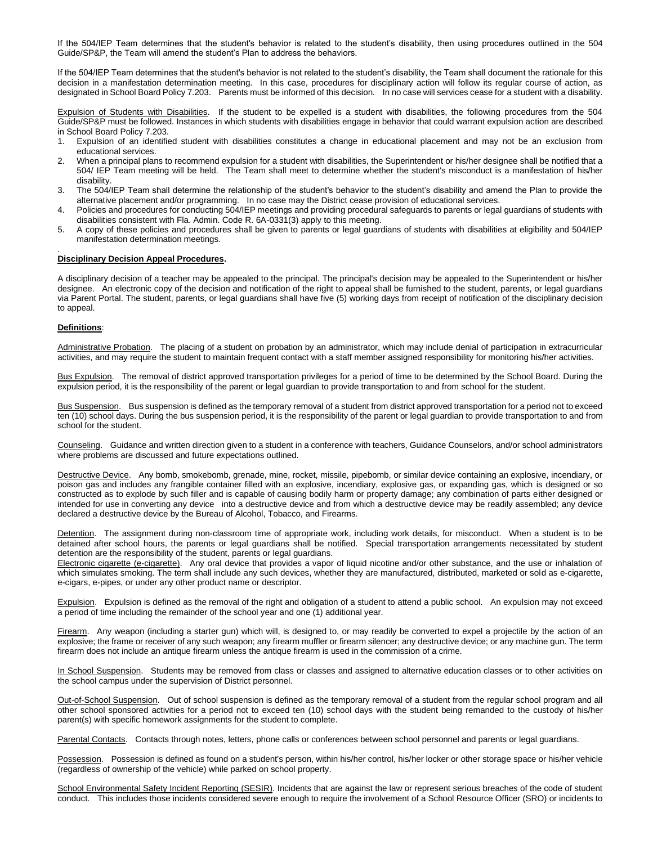If the 504/IEP Team determines that the student's behavior is related to the student's disability, then using procedures outlined in the 504 Guide/SP&P, the Team will amend the student's Plan to address the behaviors.

If the 504/IEP Team determines that the student's behavior is not related to the student's disability, the Team shall document the rationale for this decision in a manifestation determination meeting. In this case, procedures for disciplinary action will follow its regular course of action, as designated in School Board Policy 7.203. Parents must be informed of this decision. In no case will services cease for a student with a disability.

Expulsion of Students with Disabilities. If the student to be expelled is a student with disabilities, the following procedures from the 504 Guide/SP&P must be followed. Instances in which students with disabilities engage in behavior that could warrant expulsion action are described in School Board Policy 7.203.

- 1. Expulsion of an identified student with disabilities constitutes a change in educational placement and may not be an exclusion from educational services.
- 2. When a principal plans to recommend expulsion for a student with disabilities, the Superintendent or his/her designee shall be notified that a 504/ IEP Team meeting will be held. The Team shall meet to determine whether the student's misconduct is a manifestation of his/her disability.
- 3. The 504/IEP Team shall determine the relationship of the student's behavior to the student's disability and amend the Plan to provide the alternative placement and/or programming. In no case may the District cease provision of educational services.
- 4. Policies and procedures for conducting 504/IEP meetings and providing procedural safeguards to parents or legal guardians of students with disabilities consistent with Fla. Admin. Code R. 6A-0331(3) apply to this meeting.
- 5. A copy of these policies and procedures shall be given to parents or legal guardians of students with disabilities at eligibility and 504/IEP manifestation determination meetings.

#### . **Disciplinary Decision Appeal Procedures.**

A disciplinary decision of a teacher may be appealed to the principal. The principal's decision may be appealed to the Superintendent or his/her designee. An electronic copy of the decision and notification of the right to appeal shall be furnished to the student, parents, or legal guardians via Parent Portal. The student, parents, or legal guardians shall have five (5) working days from receipt of notification of the disciplinary decision to appeal.

### **Definitions**:

Administrative Probation. The placing of a student on probation by an administrator, which may include denial of participation in extracurricular activities, and may require the student to maintain frequent contact with a staff member assigned responsibility for monitoring his/her activities.

Bus Expulsion. The removal of district approved transportation privileges for a period of time to be determined by the School Board. During the expulsion period, it is the responsibility of the parent or legal guardian to provide transportation to and from school for the student.

Bus Suspension. Bus suspension is defined as the temporary removal of a student from district approved transportation for a period not to exceed ten (10) school days. During the bus suspension period, it is the responsibility of the parent or legal guardian to provide transportation to and from school for the student.

Counseling. Guidance and written direction given to a student in a conference with teachers, Guidance Counselors, and/or school administrators where problems are discussed and future expectations outlined.

Destructive Device. Any bomb, smokebomb, grenade, mine, rocket, missile, pipebomb, or similar device containing an explosive, incendiary, or poison gas and includes any frangible container filled with an explosive, incendiary, explosive gas, or expanding gas, which is designed or so constructed as to explode by such filler and is capable of causing bodily harm or property damage; any combination of parts either designed or intended for use in converting any device into a destructive device and from which a destructive device may be readily assembled; any device declared a destructive device by the Bureau of Alcohol, Tobacco, and Firearms.

Detention. The assignment during non-classroom time of appropriate work, including work details, for misconduct. When a student is to be detained after school hours, the parents or legal guardians shall be notified. Special transportation arrangements necessitated by student detention are the responsibility of the student, parents or legal guardians.

Electronic cigarette (e-cigarette). Any oral device that provides a vapor of liquid nicotine and/or other substance, and the use or inhalation of which simulates smoking. The term shall include any such devices, whether they are manufactured, distributed, marketed or sold as e-cigarette, e-cigars, e-pipes, or under any other product name or descriptor.

Expulsion. Expulsion is defined as the removal of the right and obligation of a student to attend a public school. An expulsion may not exceed a period of time including the remainder of the school year and one (1) additional year.

Firearm. Any weapon (including a starter gun) which will, is designed to, or may readily be converted to expel a projectile by the action of an explosive; the frame or receiver of any such weapon; any firearm muffler or firearm silencer; any destructive device; or any machine gun. The term firearm does not include an antique firearm unless the antique firearm is used in the commission of a crime.

In School Suspension. Students may be removed from class or classes and assigned to alternative education classes or to other activities on the school campus under the supervision of District personnel.

Out-of-School Suspension. Out of school suspension is defined as the temporary removal of a student from the regular school program and all other school sponsored activities for a period not to exceed ten (10) school days with the student being remanded to the custody of his/her parent(s) with specific homework assignments for the student to complete.

Parental Contacts. Contacts through notes, letters, phone calls or conferences between school personnel and parents or legal guardians.

Possession. Possession is defined as found on a student's person, within his/her control, his/her locker or other storage space or his/her vehicle (regardless of ownership of the vehicle) while parked on school property.

School Environmental Safety Incident Reporting (SESIR). Incidents that are against the law or represent serious breaches of the code of student conduct. This includes those incidents considered severe enough to require the involvement of a School Resource Officer (SRO) or incidents to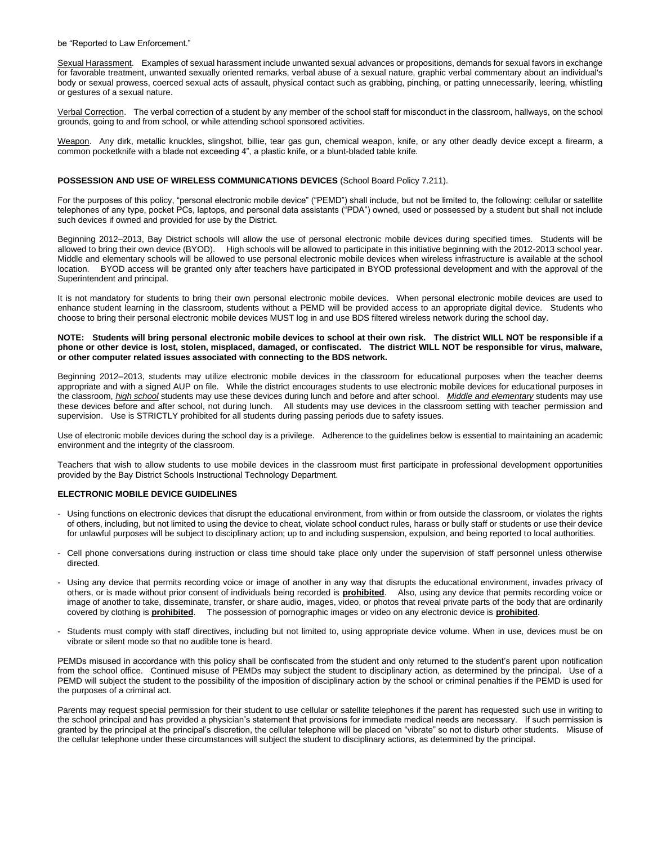be "Reported to Law Enforcement."

Sexual Harassment. Examples of sexual harassment include unwanted sexual advances or propositions, demands for sexual favors in exchange for favorable treatment, unwanted sexually oriented remarks, verbal abuse of a sexual nature, graphic verbal commentary about an individual's body or sexual prowess, coerced sexual acts of assault, physical contact such as grabbing, pinching, or patting unnecessarily, leering, whistling or gestures of a sexual nature.

Verbal Correction. The verbal correction of a student by any member of the school staff for misconduct in the classroom, hallways, on the school grounds, going to and from school, or while attending school sponsored activities.

Weapon. Any dirk, metallic knuckles, slingshot, billie, tear gas gun, chemical weapon, knife, or any other deadly device except a firearm, a common pocketknife with a blade not exceeding 4", a plastic knife, or a blunt-bladed table knife.

# **POSSESSION AND USE OF WIRELESS COMMUNICATIONS DEVICES** (School Board Policy 7.211).

For the purposes of this policy, "personal electronic mobile device" ("PEMD") shall include, but not be limited to, the following: cellular or satellite telephones of any type, pocket PCs, laptops, and personal data assistants ("PDA") owned, used or possessed by a student but shall not include such devices if owned and provided for use by the District.

Beginning 2012–2013, Bay District schools will allow the use of personal electronic mobile devices during specified times. Students will be allowed to bring their own device (BYOD). High schools will be allowed to participate in this initiative beginning with the 2012-2013 school year. Middle and elementary schools will be allowed to use personal electronic mobile devices when wireless infrastructure is available at the school location. BYOD access will be granted only after teachers have participated in BYOD professional development and with the approval of the Superintendent and principal.

It is not mandatory for students to bring their own personal electronic mobile devices. When personal electronic mobile devices are used to enhance student learning in the classroom, students without a PEMD will be provided access to an appropriate digital device. Students who choose to bring their personal electronic mobile devices MUST log in and use BDS filtered wireless network during the school day.

### **NOTE: Students will bring personal electronic mobile devices to school at their own risk. The district WILL NOT be responsible if a phone or other device is lost, stolen, misplaced, damaged, or confiscated. The district WILL NOT be responsible for virus, malware, or other computer related issues associated with connecting to the BDS network.**

Beginning 2012–2013, students may utilize electronic mobile devices in the classroom for educational purposes when the teacher deems appropriate and with a signed AUP on file. While the district encourages students to use electronic mobile devices for educational purposes in the classroom, *high school* students may use these devices during lunch and before and after school. *Middle and elementary* students may use these devices before and after school, not during lunch. All students may use devices in the classroom setting with teacher permission and supervision. Use is STRICTLY prohibited for all students during passing periods due to safety issues.

Use of electronic mobile devices during the school day is a privilege. Adherence to the guidelines below is essential to maintaining an academic environment and the integrity of the classroom.

Teachers that wish to allow students to use mobile devices in the classroom must first participate in professional development opportunities provided by the Bay District Schools Instructional Technology Department.

### **ELECTRONIC MOBILE DEVICE GUIDELINES**

- Using functions on electronic devices that disrupt the educational environment, from within or from outside the classroom, or violates the rights of others, including, but not limited to using the device to cheat, violate school conduct rules, harass or bully staff or students or use their device for unlawful purposes will be subject to disciplinary action; up to and including suspension, expulsion, and being reported to local authorities.
- Cell phone conversations during instruction or class time should take place only under the supervision of staff personnel unless otherwise directed.
- Using any device that permits recording voice or image of another in any way that disrupts the educational environment, invades privacy of others, or is made without prior consent of individuals being recorded is **prohibited**. Also, using any device that permits recording voice or image of another to take, disseminate, transfer, or share audio, images, video, or photos that reveal private parts of the body that are ordinarily covered by clothing is **prohibited**. The possession of pornographic images or video on any electronic device is **prohibited**.
- Students must comply with staff directives, including but not limited to, using appropriate device volume. When in use, devices must be on vibrate or silent mode so that no audible tone is heard.

PEMDs misused in accordance with this policy shall be confiscated from the student and only returned to the student's parent upon notification from the school office. Continued misuse of PEMDs may subject the student to disciplinary action, as determined by the principal. Use of a PEMD will subject the student to the possibility of the imposition of disciplinary action by the school or criminal penalties if the PEMD is used for the purposes of a criminal act.

Parents may request special permission for their student to use cellular or satellite telephones if the parent has requested such use in writing to the school principal and has provided a physician's statement that provisions for immediate medical needs are necessary. If such permission is granted by the principal at the principal's discretion, the cellular telephone will be placed on "vibrate" so not to disturb other students. Misuse of the cellular telephone under these circumstances will subject the student to disciplinary actions, as determined by the principal.